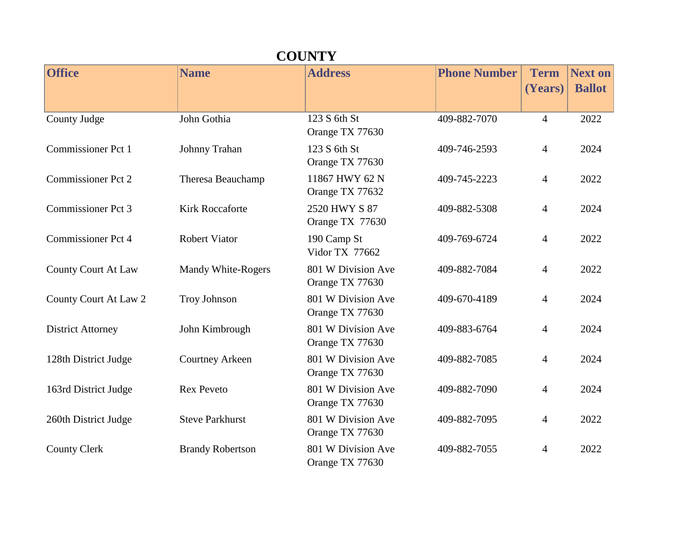| <b>COUNTY</b>              |                           |                                       |                     |                        |                                 |  |
|----------------------------|---------------------------|---------------------------------------|---------------------|------------------------|---------------------------------|--|
| <b>Office</b>              | <b>Name</b>               | <b>Address</b>                        | <b>Phone Number</b> | <b>Term</b><br>(Years) | <b>Next on</b><br><b>Ballot</b> |  |
| County Judge               | John Gothia               | 123 S 6th St<br>Orange TX 77630       | 409-882-7070        | $\overline{4}$         | 2022                            |  |
| <b>Commissioner Pct 1</b>  | Johnny Trahan             | 123 S 6th St<br>Orange TX 77630       | 409-746-2593        | 4                      | 2024                            |  |
| <b>Commissioner Pct 2</b>  | Theresa Beauchamp         | 11867 HWY 62 N<br>Orange TX 77632     | 409-745-2223        | 4                      | 2022                            |  |
| <b>Commissioner Pct 3</b>  | <b>Kirk Roccaforte</b>    | 2520 HWY S 87<br>Orange TX 77630      | 409-882-5308        | $\overline{4}$         | 2024                            |  |
| <b>Commissioner Pct 4</b>  | <b>Robert Viator</b>      | 190 Camp St<br>Vidor TX 77662         | 409-769-6724        | $\overline{4}$         | 2022                            |  |
| <b>County Court At Law</b> | <b>Mandy White-Rogers</b> | 801 W Division Ave<br>Orange TX 77630 | 409-882-7084        | 4                      | 2022                            |  |
| County Court At Law 2      | <b>Troy Johnson</b>       | 801 W Division Ave<br>Orange TX 77630 | 409-670-4189        | 4                      | 2024                            |  |
| <b>District Attorney</b>   | John Kimbrough            | 801 W Division Ave<br>Orange TX 77630 | 409-883-6764        | 4                      | 2024                            |  |
| 128th District Judge       | <b>Courtney Arkeen</b>    | 801 W Division Ave<br>Orange TX 77630 | 409-882-7085        | 4                      | 2024                            |  |
| 163rd District Judge       | <b>Rex Peveto</b>         | 801 W Division Ave<br>Orange TX 77630 | 409-882-7090        | 4                      | 2024                            |  |
| 260th District Judge       | <b>Steve Parkhurst</b>    | 801 W Division Ave<br>Orange TX 77630 | 409-882-7095        | 4                      | 2022                            |  |
| <b>County Clerk</b>        | <b>Brandy Robertson</b>   | 801 W Division Ave<br>Orange TX 77630 | 409-882-7055        | 4                      | 2022                            |  |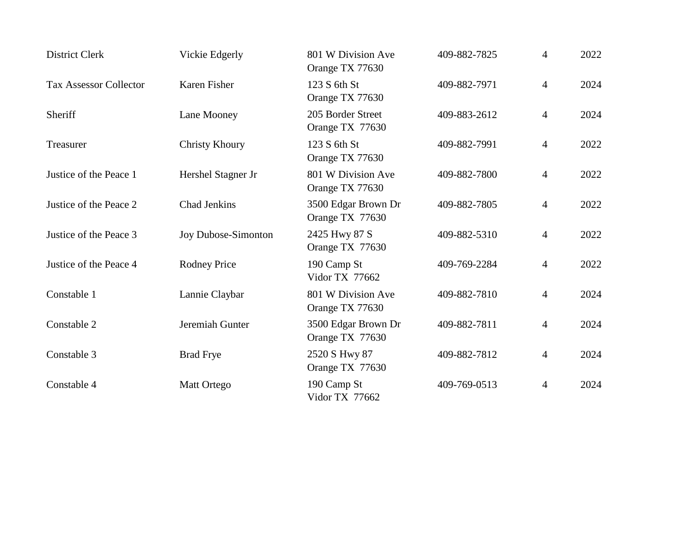| <b>District Clerk</b>         | Vickie Edgerly        | 801 W Division Ave<br>Orange TX 77630  | 409-882-7825 | $\overline{4}$ | 2022 |
|-------------------------------|-----------------------|----------------------------------------|--------------|----------------|------|
| <b>Tax Assessor Collector</b> | Karen Fisher          | 123 S 6th St<br>Orange TX 77630        | 409-882-7971 | $\overline{4}$ | 2024 |
| Sheriff                       | Lane Mooney           | 205 Border Street<br>Orange TX 77630   | 409-883-2612 | $\overline{4}$ | 2024 |
| Treasurer                     | <b>Christy Khoury</b> | 123 S 6th St<br>Orange TX 77630        | 409-882-7991 | $\overline{4}$ | 2022 |
| Justice of the Peace 1        | Hershel Stagner Jr    | 801 W Division Ave<br>Orange TX 77630  | 409-882-7800 | $\overline{4}$ | 2022 |
| Justice of the Peace 2        | <b>Chad Jenkins</b>   | 3500 Edgar Brown Dr<br>Orange TX 77630 | 409-882-7805 | $\overline{4}$ | 2022 |
| Justice of the Peace 3        | Joy Dubose-Simonton   | 2425 Hwy 87 S<br>Orange TX 77630       | 409-882-5310 | $\overline{4}$ | 2022 |
| Justice of the Peace 4        | <b>Rodney Price</b>   | 190 Camp St<br>Vidor TX 77662          | 409-769-2284 | $\overline{4}$ | 2022 |
| Constable 1                   | Lannie Claybar        | 801 W Division Ave<br>Orange TX 77630  | 409-882-7810 | $\overline{4}$ | 2024 |
| Constable 2                   | Jeremiah Gunter       | 3500 Edgar Brown Dr<br>Orange TX 77630 | 409-882-7811 | $\overline{4}$ | 2024 |
| Constable 3                   | <b>Brad Frye</b>      | 2520 S Hwy 87<br>Orange TX 77630       | 409-882-7812 | $\overline{4}$ | 2024 |
| Constable 4                   | Matt Ortego           | 190 Camp St<br>Vidor TX 77662          | 409-769-0513 | $\overline{4}$ | 2024 |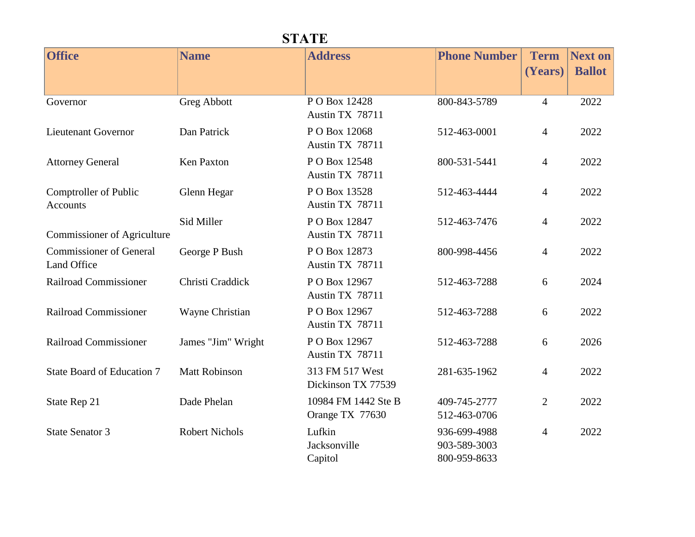| <b>STATE</b>                                  |                       |                                        |                                              |                        |                                 |  |
|-----------------------------------------------|-----------------------|----------------------------------------|----------------------------------------------|------------------------|---------------------------------|--|
| <b>Office</b>                                 | <b>Name</b>           | <b>Address</b>                         | <b>Phone Number</b>                          | <b>Term</b><br>(Years) | <b>Next on</b><br><b>Ballot</b> |  |
| Governor                                      | <b>Greg Abbott</b>    | PO Box 12428<br>Austin TX 78711        | 800-843-5789                                 | $\overline{4}$         | 2022                            |  |
| <b>Lieutenant Governor</b>                    | Dan Patrick           | PO Box 12068<br>Austin TX 78711        | 512-463-0001                                 | $\overline{4}$         | 2022                            |  |
| <b>Attorney General</b>                       | Ken Paxton            | PO Box 12548<br>Austin TX 78711        | 800-531-5441                                 | $\overline{4}$         | 2022                            |  |
| Comptroller of Public<br><b>Accounts</b>      | Glenn Hegar           | PO Box 13528<br>Austin TX 78711        | 512-463-4444                                 | $\overline{4}$         | 2022                            |  |
| <b>Commissioner of Agriculture</b>            | Sid Miller            | P O Box 12847<br>Austin TX 78711       | 512-463-7476                                 | $\overline{4}$         | 2022                            |  |
| <b>Commissioner of General</b><br>Land Office | George P Bush         | PO Box 12873<br>Austin TX 78711        | 800-998-4456                                 | $\overline{4}$         | 2022                            |  |
| Railroad Commissioner                         | Christi Craddick      | P O Box 12967<br>Austin TX 78711       | 512-463-7288                                 | 6                      | 2024                            |  |
| Railroad Commissioner                         | Wayne Christian       | P O Box 12967<br>Austin TX 78711       | 512-463-7288                                 | 6                      | 2022                            |  |
| <b>Railroad Commissioner</b>                  | James "Jim" Wright    | P O Box 12967<br>Austin TX 78711       | 512-463-7288                                 | 6                      | 2026                            |  |
| State Board of Education 7                    | <b>Matt Robinson</b>  | 313 FM 517 West<br>Dickinson TX 77539  | 281-635-1962                                 | $\overline{4}$         | 2022                            |  |
| State Rep 21                                  | Dade Phelan           | 10984 FM 1442 Ste B<br>Orange TX 77630 | 409-745-2777<br>512-463-0706                 | $\overline{2}$         | 2022                            |  |
| <b>State Senator 3</b>                        | <b>Robert Nichols</b> | Lufkin<br>Jacksonville<br>Capitol      | 936-699-4988<br>903-589-3003<br>800-959-8633 | $\overline{4}$         | 2022                            |  |